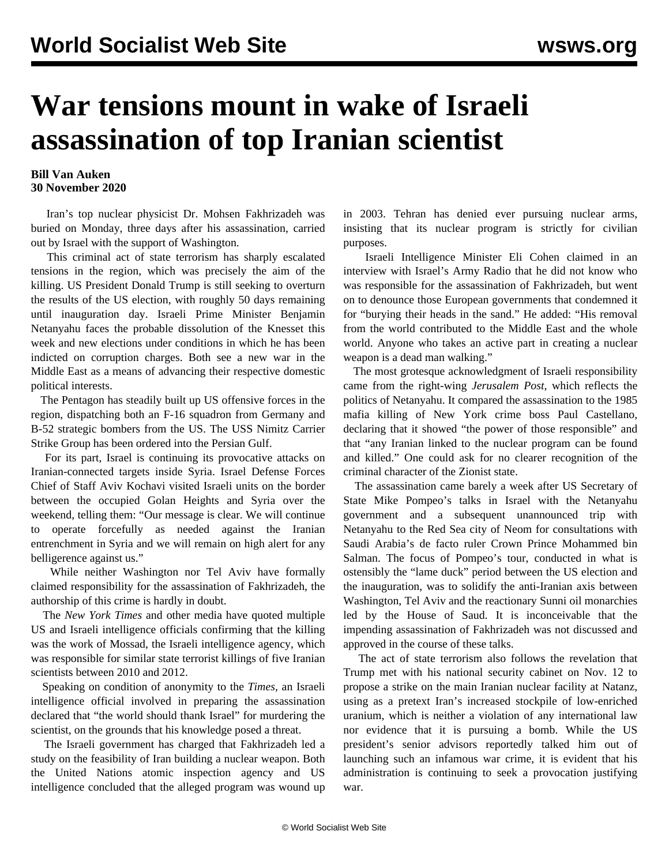## **War tensions mount in wake of Israeli assassination of top Iranian scientist**

## **Bill Van Auken 30 November 2020**

 Iran's top nuclear physicist Dr. Mohsen Fakhrizadeh was buried on Monday, three days after his assassination, carried out by Israel with the support of Washington.

 This criminal act of state terrorism has sharply escalated tensions in the region, which was precisely the aim of the killing. US President Donald Trump is still seeking to overturn the results of the US election, with roughly 50 days remaining until inauguration day. Israeli Prime Minister Benjamin Netanyahu faces the probable dissolution of the Knesset this week and new elections under conditions in which he has been indicted on corruption charges. Both see a new war in the Middle East as a means of advancing their respective domestic political interests.

 The Pentagon has steadily built up US offensive forces in the region, dispatching both an F-16 squadron from Germany and B-52 strategic bombers from the US. The USS Nimitz Carrier Strike Group has been ordered into the Persian Gulf.

 For its part, Israel is continuing its provocative attacks on Iranian-connected targets inside Syria. Israel Defense Forces Chief of Staff Aviv Kochavi visited Israeli units on the border between the occupied Golan Heights and Syria over the weekend, telling them: "Our message is clear. We will continue to operate forcefully as needed against the Iranian entrenchment in Syria and we will remain on high alert for any belligerence against us."

 While neither Washington nor Tel Aviv have formally claimed responsibility for the assassination of Fakhrizadeh, the authorship of this crime is hardly in doubt.

 The *New York Times* and other media have quoted multiple US and Israeli intelligence officials confirming that the killing was the work of Mossad, the Israeli intelligence agency, which was responsible for similar state terrorist killings of five Iranian scientists between 2010 and 2012.

 Speaking on condition of anonymity to the *Times*, an Israeli intelligence official involved in preparing the assassination declared that "the world should thank Israel" for murdering the scientist, on the grounds that his knowledge posed a threat.

 The Israeli government has charged that Fakhrizadeh led a study on the feasibility of Iran building a nuclear weapon. Both the United Nations atomic inspection agency and US intelligence concluded that the alleged program was wound up in 2003. Tehran has denied ever pursuing nuclear arms, insisting that its nuclear program is strictly for civilian purposes.

 Israeli Intelligence Minister Eli Cohen claimed in an interview with Israel's Army Radio that he did not know who was responsible for the assassination of Fakhrizadeh, but went on to denounce those European governments that condemned it for "burying their heads in the sand." He added: "His removal from the world contributed to the Middle East and the whole world. Anyone who takes an active part in creating a nuclear weapon is a dead man walking."

 The most grotesque acknowledgment of Israeli responsibility came from the right-wing *Jerusalem Post*, which reflects the politics of Netanyahu. It compared the assassination to the 1985 mafia killing of New York crime boss Paul Castellano, declaring that it showed "the power of those responsible" and that "any Iranian linked to the nuclear program can be found and killed." One could ask for no clearer recognition of the criminal character of the Zionist state.

 The assassination came barely a week after US Secretary of State Mike Pompeo's talks in Israel with the Netanyahu government and a subsequent unannounced trip with Netanyahu to the Red Sea city of Neom for consultations with Saudi Arabia's de facto ruler Crown Prince Mohammed bin Salman. The focus of Pompeo's tour, conducted in what is ostensibly the "lame duck" period between the US election and the inauguration, was to solidify the anti-Iranian axis between Washington, Tel Aviv and the reactionary Sunni oil monarchies led by the House of Saud. It is inconceivable that the impending assassination of Fakhrizadeh was not discussed and approved in the course of these talks.

 The act of state terrorism also follows the revelation that Trump met with his national security cabinet on Nov. 12 to propose a strike on the main Iranian nuclear facility at Natanz, using as a pretext Iran's increased stockpile of low-enriched uranium, which is neither a violation of any international law nor evidence that it is pursuing a bomb. While the US president's senior advisors reportedly talked him out of launching such an infamous war crime, it is evident that his administration is continuing to seek a provocation justifying war.